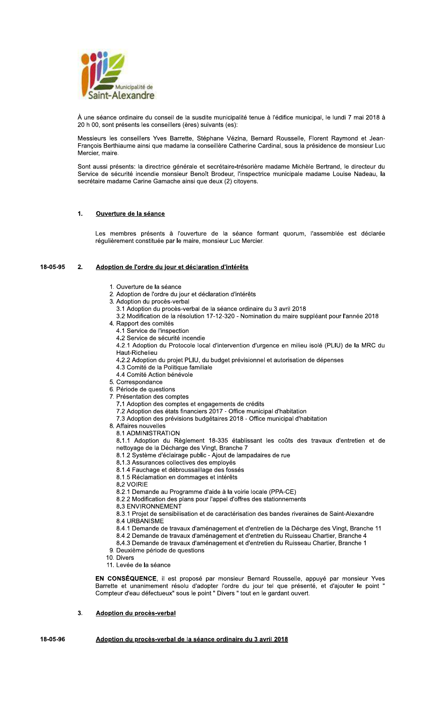

À une séance ordinaire du conseil de la susdite municipalité tenue à l'édifice municipal, le lundi 7 mai 2018 à 20 h 00, sont présents les conseillers (ères) suivants (es):

Messieurs les conseillers Yves Barrette, Stéphane Vézina, Bernard Rousselle, Florent Raymond et Jean-François Berthiaume ainsi que madame la conseillère Catherine Cardinal, sous la présidence de monsieur Luc Mercier, maire.

Sont aussi présents: la directrice générale et secrétaire-trésorière madame Michèle Bertrand, le directeur du Service de sécurité incendie monsieur Benoît Brodeur, l'inspectrice municipale madame Louise Nadeau, la secrétaire madame Carine Gamache ainsi que deux (2) citoyens.

### $\mathbf{1}$ . Ouverture de la séance

Les membres présents à l'ouverture de la séance formant quorum, l'assemblée est déclarée régulièrement constituée par le maire, monsieur Luc Mercier.

#### 18-05-95  $2.$ Adoption de l'ordre du jour et déclaration d'intérêts

- 1. Ouverture de la séance
- 2. Adoption de l'ordre du jour et déclaration d'intérêts
- 3. Adoption du procès-verbal
	- 3.1 Adoption du procès-verbal de la séance ordinaire du 3 avril 2018
	- 3.2 Modification de la résolution 17-12-320 Nomination du maire suppléant pour l'année 2018
- 4. Rapport des comités
	- 4.1 Service de l'inspection
	- 4.2 Service de sécurité incendie
	- 4.2.1 Adoption du Protocole local d'intervention d'urgence en milieu isolé (PLIU) de la MRC du Haut-Richelieu
	- 4.2.2 Adoption du projet PLIU, du budget prévisionnel et autorisation de dépenses
	- 4.3 Comité de la Politique familiale
	- 4.4 Comité Action bénévole
- 5. Correspondance
- 6. Période de questions
- 7. Présentation des comptes
	- 7.1 Adoption des comptes et engagements de crédits
	- 7.2 Adoption des états financiers 2017 Office municipal d'habitation
	- 7.3 Adoption des prévisions budgétaires 2018 Office municipal d'habitation
- 8. Affaires nouvelles
	- 8.1 ADMINISTRATION

8.1.1 Adoption du Règlement 18-335 établissant les coûts des travaux d'entretien et de nettoyage de la Décharge des Vingt, Branche 7

- 8.1.2 Système d'éclairage public Ajout de lampadaires de rue
- 8.1.3 Assurances collectives des employés
- 8.1.4 Fauchage et débroussaillage des fossés
- 8.1.5 Réclamation en dommages et intérêts
- 8.2 VOIRIE
- 8.2.1 Demande au Programme d'aide à la voirie locale (PPA-CE)
- 8.2.2 Modification des plans pour l'appel d'offres des stationnements
- **8.3 ENVIRONNEMENT**
- 8.3.1 Projet de sensibilisation et de caractérisation des bandes riveraines de Saint-Alexandre
- 8.4 URBANISME
- 8.4.1 Demande de travaux d'aménagement et d'entretien de la Décharge des Vingt, Branche 11
- 8.4.2 Demande de travaux d'aménagement et d'entretien du Ruisseau Chartier, Branche 4
- 8.4.3 Demande de travaux d'aménagement et d'entretien du Ruisseau Chartier, Branche 1
- 9. Deuxième période de questions
- 10. Divers
- 11. Levée de la séance

EN CONSÉQUENCE, il est proposé par monsieur Bernard Rousselle, appuyé par monsieur Yves Barrette et unanimement résolu d'adopter l'ordre du jour tel que présenté, et d'ajouter le point<br>Compteur d'eau défectueux" sous le point " Divers " tout en le gardant ouvert.

 $3.$ Adoption du procès-verbal

#### 18-05-96 Adoption du procès-verbal de la séance ordinaire du 3 avril 2018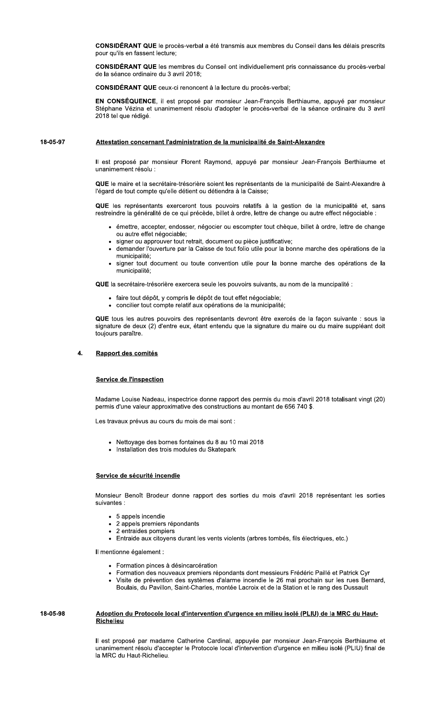CONSIDÉRANT QUE le procès-verbal a été transmis aux membres du Conseil dans les délais prescrits pour qu'ils en fassent lecture;

**CONSIDÉRANT QUE** les membres du Conseil ont individuellement pris connaissance du procès-verbal de la séance ordinaire du 3 avril 2018;

CONSIDÉRANT QUE ceux-ci renoncent à la lecture du procès-verbal;

EN CONSÉQUENCE, il est proposé par monsieur Jean-François Berthiaume, appuyé par monsieur Stéphane Vézina et unanimement résolu d'adopter le procès-verbal de la séance ordinaire du 3 avril 2018 tel que rédigé.

#### 18-05-97 Attestation concernant l'administration de la municipalité de Saint-Alexandre

Il est proposé par monsieur Florent Raymond, appuyé par monsieur Jean-François Berthiaume et unanimement résolu :

QUE le maire et la secrétaire-trésorière soient les représentants de la municipalité de Saint-Alexandre à l'égard de tout compte qu'elle détient ou détiendra à la Caisse;

QUE les représentants exerceront tous pouvoirs relatifs à la gestion de la municipalité et, sans restreindre la généralité de ce qui précède, billet à ordre, lettre de change ou autre effect négociable :

- · émettre, accepter, endosser, négocier ou escompter tout chèque, billet à ordre, lettre de change ou autre effet négociable;
- · signer ou approuver tout retrait, document ou pièce justificative;
- · demander l'ouverture par la Caisse de tout folio utile pour la bonne marche des opérations de la municipalité;
- · signer tout document ou toute convention utile pour la bonne marche des opérations de la municipalité;

QUE la secrétaire-trésorière exercera seule les pouvoirs suivants, au nom de la muncipalité :

- · faire tout dépôt. y compris le dépôt de tout effet négociable:
- concilier tout compte relatif aux opérations de la municipalité;

QUE tous les autres pouvoirs des représentants devront être exercés de la façon suivante : sous la signature de deux (2) d'entre eux, étant entendu que la signature du maire ou du maire suppléant doit toujours paraître.

### $\mathbf{A}$ Rapport des comités

## **Service de l'inspection**

Madame Louise Nadeau, inspectrice donne rapport des permis du mois d'avril 2018 totalisant vingt (20) permis d'une valeur approximative des constructions au montant de 656 740 \$.

Les travaux prévus au cours du mois de mai sont :

- Nettoyage des bornes fontaines du 8 au 10 mai 2018
- Installation des trois modules du Skatepark

# Service de sécurité incendie

Monsieur Benoît Brodeur donne rapport des sorties du mois d'avril 2018 représentant les sorties suivantes :

- 5 appels incendie
- 2 appels premiers répondants
- 2 entraides pompiers
- Entraide aux citoyens durant les vents violents (arbres tombés, fils électriques, etc.)

Il mentionne également :

- Formation pinces à désincarcération
- Formation des nouveaux premiers répondants dont messieurs Frédéric Paillé et Patrick Cyr
	- Visite de prévention des systèmes d'alarme incendie le 26 mai prochain sur les rues Bernard, Boulais, du Pavillon, Saint-Charles, montée Lacroix et de la Station et le rang des Dussault

### 18-05-98 Adoption du Protocole local d'intervention d'urgence en milieu isolé (PLIU) de la MRC du Haut-**Richelieu**

Il est proposé par madame Catherine Cardinal, appuyée par monsieur Jean-François Berthiaume et unanimement résolu d'accepter le Protocole local d'intervention d'urgence en milieu isolé (PLIU) final de la MRC du Haut-Richelieu.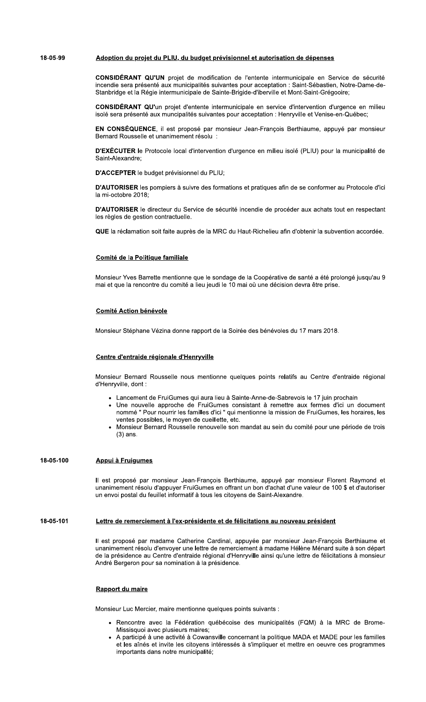#### 18-05-99 Adoption du projet du PLIU, du budget prévisionnel et autorisation de dépenses

CONSIDÉRANT QU'UN projet de modification de l'entente intermunicipale en Service de sécurité incendie sera présenté aux municipalités suivantes pour acceptation : Saint-Sébastien, Notre-Dame-de-Stanbridge et la Régie intermunicipale de Sainte-Brigide-d'iberville et Mont-Saint-Grégooire;

CONSIDÉRANT QU'un projet d'entente intermunicipale en service d'intervention d'urgence en milieu isolé sera présenté aux muncipalités suivantes pour acceptation : Henryville et Venise-en-Québec;

EN CONSÉQUENCE, il est proposé par monsieur Jean-François Berthiaume, appuyé par monsieur Bernard Rousselle et unanimement résolu :

D'EXÉCUTER le Protocole local d'intervention d'urgence en milieu isolé (PLIU) pour la municipalité de Saint-Alexandre;

D'ACCEPTER le budget prévisionnel du PLIU;

D'AUTORISER les pompiers à suivre des formations et pratiques afin de se conformer au Protocole d'ici la mi-octobre 2018:

D'AUTORISER le directeur du Service de sécurité incendie de procéder aux achats tout en respectant les règles de gestion contractuelle.

QUE la réclamation soit faite auprès de la MRC du Haut-Richelieu afin d'obtenir la subvention accordée.

### Comité de la Politique familiale

Monsieur Yves Barrette mentionne que le sondage de la Coopérative de santé a été prolongé jusqu'au 9 mai et que la rencontre du comité a lieu jeudi le 10 mai où une décision devra être prise.

## **Comité Action bénévole**

Monsieur Stéphane Vézina donne rapport de la Soirée des bénévoles du 17 mars 2018.

# Centre d'entraide régionale d'Henryville

Monsieur Bernard Rousselle nous mentionne quelques points relatifs au Centre d'entraide régional d'Henryville, dont :

- Lancement de FruiGumes qui aura lieu à Sainte-Anne-de-Sabrevois le 17 juin prochain
- Une nouvelle approche de FruiGumes consistant à remettre aux fermes d'ici un document nommé " Pour nourrir les familles d'ici " qui mentionne la mission de FruiGumes, les horaires, les ventes possibles, le moyen de cueillette, etc.
- · Monsieur Bernard Rousselle renouvelle son mandat au sein du comité pour une période de trois  $(3)$  ans.

### 18-05-100 Appui à Fruigumes

Il est proposé par monsieur Jean-François Berthiaume, appuyé par monsieur Florent Raymond et unanimement résolu d'appuyer FruiGumes en offrant un bon d'achat d'une valeur de 100 \$ et d'autoriser un envoi postal du feuillet informatif à tous les citoyens de Saint-Alexandre.

#### 18-05-101 Lettre de remerciement à l'ex-présidente et de félicitations au nouveau président

Il est proposé par madame Catherine Cardinal, appuyée par monsieur Jean-François Berthiaume et unanimement résolu d'envoyer une lettre de remerciement à madame Hélène Ménard suite à son départ de la présidence au Centre d'entraide régional d'Henryville ainsi qu'une lettre de félicitations à monsieur André Bergeron pour sa nomination à la présidence.

## Rapport du maire

Monsieur Luc Mercier, maire mentionne quelques points suivants :

- Rencontre avec la Fédération québécoise des municipalités (FQM) à la MRC de Brome-Missisquoi avec plusieurs maires;
- A participé à une activité à Cowansville concernant la politique MADA et MADE pour les familles et les aînés et invite les citoyens intéressés à s'impliquer et mettre en oeuvre ces programmes importants dans notre municipalité;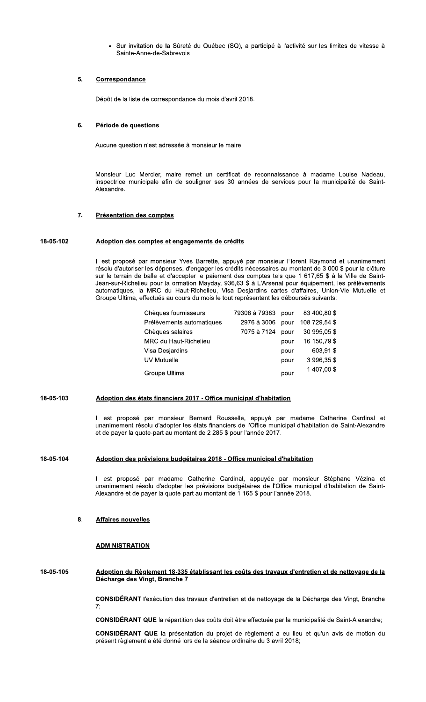Sur invitation de la Sûreté du Québec (SQ), a participé à l'activité sur les limites de vitesse à Sainte-Anne-de-Sabrevois.

### $5.$ Correspondance

Dépôt de la liste de correspondance du mois d'avril 2018.

### 6. Période de questions

Aucune question n'est adressée à monsieur le maire.

Monsieur Luc Mercier, maire remet un certificat de reconnaissance à madame Louise Nadeau, inspectrice municipale afin de souligner ses 30 années de services pour la municipalité de Saint-Alexandre.

### $7.$ **Présentation des comptes**

### 18-05-102 Adoption des comptes et engagements de crédits

Il est proposé par monsieur Yves Barrette, appuyé par monsieur Florent Raymond et unanimement résolu d'autoriser les dépenses, d'engager les crédits nécessaires au montant de 3 000 \$ pour la clôture sur le terrain de balle et d'accepter le paiement des comptes tels que 1 617,65 \$ à la Ville de Saint-Jean-sur-Richelieu pour la ormation Mayday, 936,63 \$ à L'Arsenal pour équipement, les prélèvements automatiques, la MRC du Haut-Richelieu, Visa Desjardins cartes d'affaires, Union-Vie Mutuelle et Groupe Ultima, effectués au cours du mois le tout représentant les déboursés suivants:

| Chèques fournisseurs         | 79308 à 79383 | pour | 83 400,80 \$  |
|------------------------------|---------------|------|---------------|
| Prélèvements automatiques    | 2976 à 3006   | pour | 108 729,54 \$ |
| Chèques salaires             | 7075 à 7124   | pour | 30 995,05 \$  |
| <b>MRC du Haut-Richelieu</b> |               | pour | 16 150,79 \$  |
| Visa Desjardins              |               | pour | 603.91\$      |
| UV Mutuelle                  |               | pour | 3 996,35 \$   |
| Groupe Ultima                |               | pour | 1 407,00 \$   |

#### 18-05-103 Adoption des états financiers 2017 - Office municipal d'habitation

Il est proposé par monsieur Bernard Rousselle, appuyé par madame Catherine Cardinal et unanimement résolu d'adopter les états financiers de l'Office municipal d'habitation de Saint-Alexandre et de payer la quote-part au montant de 2 285 \$ pour l'année 2017.

### 18-05-104 Adoption des prévisions budgétaires 2018 - Office municipal d'habitation

Il est proposé par madame Catherine Cardinal, appuyée par monsieur Stéphane Vézina et unanimement résolu d'adopter les prévisions budgétaires de l'Office municipal d'habitation de Saint-Alexandre et de payer la quote-part au montant de 1 165 \$ pour l'année 2018.

### 8. **Affaires nouvelles**

## **ADMINISTRATION**

18-05-105 Adoption du Règlement 18-335 établissant les coûts des travaux d'entretien et de nettoyage de la Décharge des Vingt, Branche 7

CONSIDÉRANT l'exécution des travaux d'entretien et de nettoyage de la Décharge des Vingt, Branche

CONSIDÉRANT QUE la répartition des coûts doit être effectuée par la municipalité de Saint-Alexandre;

**CONSIDÉRANT QUE** la présentation du projet de règlement a eu lieu et qu'un avis de motion du présent règlement a été donné lors de la séance ordinaire du 3 avril 2018;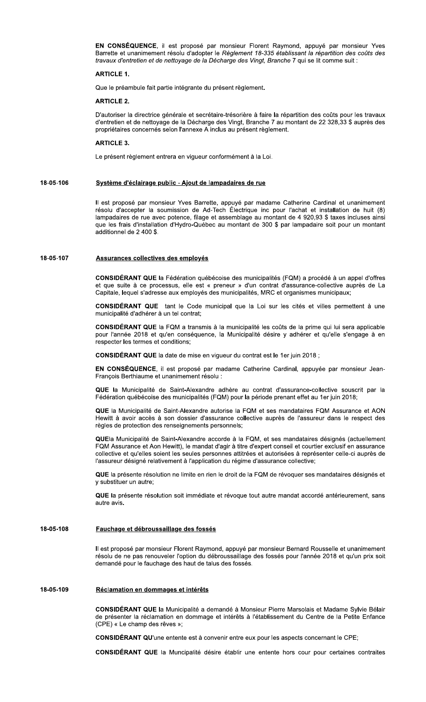EN CONSÉQUENCE, il est proposé par monsieur Florent Raymond, appuyé par monsieur Yves Barrette et unanimement résolu d'adopter le Règlement 18-335 établissant la répartition des coûts des travaux d'entretien et de nettoyage de la Décharge des Vingt, Branche 7 qui se lit comme suit :

### **ARTICLE 1.**

Que le préambule fait partie intégrante du présent règlement.

# **ARTICLE 2.**

D'autoriser la directrice générale et secrétaire-trésorière à faire la répartition des coûts pour les travaux d'entretien et de nettoyage de la Décharge des Vingt, Branche 7 au montant de 22 328,33 \$ auprès des propriétaires concernés selon l'annexe A inclus au présent règlement.

## **ARTICLE 3.**

Le présent règlement entrera en vigueur conformément à la Loi.

### 18-05-106 Système d'éclairage public - Ajout de lampadaires de rue

Il est proposé par monsieur Yves Barrette, appuyé par madame Catherine Cardinal et unanimement résolu d'accepter la soumission de Ad-Tech Électrique inc pour l'achat et installation de huit (8) lampadaires de rue avec potence, filage et assemblage au montant de 4 920,93 \$ taxes incluses ainsi que les frais d'installation d'Hydro-Québec au montant de 300 \$ par lampadaire soit pour un montant additionnel de 2 400 \$.

#### 18-05-107 Assurances collectives des employés

CONSIDÉRANT QUE la Fédération québécoise des municipalités (FQM) a procédé à un appel d'offres et que suite à ce processus, elle est « preneur » d'un contrat d'assurance-collective auprès de La Capitale, lequel s'adresse aux employés des municipalités, MRC et organismes municipaux;

CONSIDÉRANT QUE tant le Code municipal que la Loi sur les cités et villes permettent à une municipalité d'adhérer à un tel contrat;

CONSIDÉRANT QUE la FQM a transmis à la municipalité les coûts de la prime qui lui sera applicable pour l'année 2018 et qu'en conséquence, la Municipalité désire y adhérer et qu'elle s'engage à en respecter les termes et conditions;

CONSIDÉRANT QUE la date de mise en vigueur du contrat est le 1er juin 2018 ;

EN CONSÉQUENCE, il est proposé par madame Catherine Cardinal, appuyée par monsieur Jean-François Berthiaume et unanimement résolu :

QUE la Municipalité de Saint-Alexandre adhère au contrat d'assurance-collective souscrit par la Fédération québécoise des municipalités (FQM) pour la période prenant effet au 1er juin 2018;

QUE la Municipalité de Saint-Alexandre autorise la FQM et ses mandataires FQM Assurance et AON Hewitt à avoir accès à son dossier d'assurance collective auprès de l'assureur dans le respect des règles de protection des renseignements personnels;

QUEla Municipalité de Saint-Alexandre accorde à la FQM, et ses mandataires désignés (actuellement FQM Assurance et Aon Hewitt), le mandat d'agir à titre d'expert conseil et courtier exclusif en assurance collective et qu'elles soient les seules personnes attitrées et autorisées à représenter celle-ci auprès de l'assureur désigné relativement à l'application du régime d'assurance collective;

QUE la présente résolution ne limite en rien le droit de la FQM de révoquer ses mandataires désignés et y substituer un autre;

QUE la présente résolution soit immédiate et révoque tout autre mandat accordé antérieurement, sans autre avis.

#### 18-05-108 Fauchage et débroussaillage des fossés

Il est proposé par monsieur Florent Raymond, appuyé par monsieur Bernard Rousselle et unanimement résolu de ne pas renouveler l'option du débroussaillage des fossés pour l'année 2018 et qu'un prix soit demandé pour le fauchage des haut de talus des fossés.

#### 18-05-109 Réclamation en dommages et intérêts

CONSIDÉRANT QUE la Municipalité a demandé à Monsieur Pierre Marsolais et Madame Sylvie Bélair de présenter la réclamation en dommage et intérêts à l'établissement du Centre de la Petite Enfance (CPE) « Le champ des rêves »;

CONSIDÉRANT QU'une entente est à convenir entre eux pour les aspects concernant le CPE;

CONSIDÉRANT QUE la Muncipalité désire établir une entente hors cour pour certaines contraites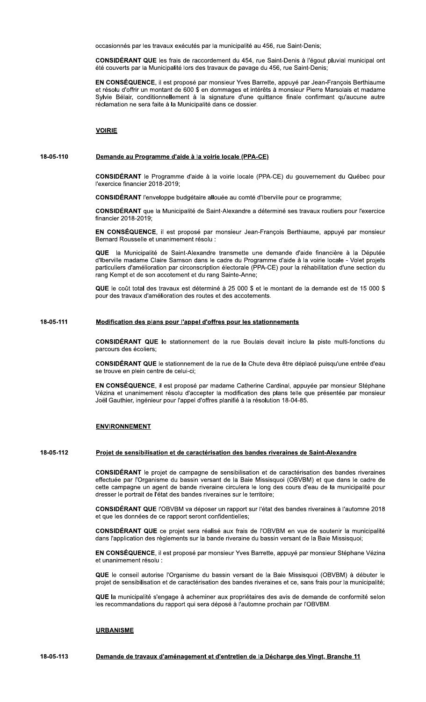occasionnés par les travaux exécutés par la municipalité au 456, rue Saint-Denis;

CONSIDÉRANT QUE les frais de raccordement du 454, rue Saint-Denis à l'égout pluvial municipal ont été couverts par la Municipalité lors des travaux de pavage du 456, rue Saint-Denis;

EN CONSÉQUENCE, il est proposé par monsieur Yves Barrette, appuyé par Jean-François Berthiaume et résolu d'offrir un montant de 600 \$ en dommages et intérêts à monsieur Pierre Marsolais et madame Sylvie Bélair, conditionnellement à la signature d'une quittance finale confirmant qu'aucune autre réclamation ne sera faite à la Municipalité dans ce dossier.

# **VOIRIE**

#### 18-05-110 Demande au Programme d'aide à la voirie locale (PPA-CE)

CONSIDÉRANT le Programme d'aide à la voirie locale (PPA-CE) du gouvernement du Québec pour l'exercice financier 2018-2019;

**CONSIDÉRANT** l'enveloppe budgétaire allouée au comté d'Iberville pour ce programme:

CONSIDÉRANT que la Municipalité de Saint-Alexandre a déterminé ses travaux routiers pour l'exercice financier 2018-2019;

EN CONSÉQUENCE, il est proposé par monsieur Jean-François Berthiaume, appuyé par monsieur Bernard Rousselle et unanimement résolu :

la Municipalité de Saint-Alexandre transmette une demande d'aide financière à la Députée d'Iberville madame Claire Samson dans le cadre du Programme d'aide à la voirie locale - Volet projets particuliers d'amélioration par circonscription électorale (PPA-CE) pour la réhabilitation d'une section du rang Kempt et de son accotement et du rang Sainte-Anne:

QUE le coût total des travaux est déterminé à 25 000 \$ et le montant de la demande est de 15 000 \$ pour des travaux d'amélioration des routes et des accotements.

### 18-05-111 Modification des plans pour l'appel d'offres pour les stationnements

CONSIDÉRANT QUE le stationnement de la rue Boulais devait inclure la piste multi-fonctions du parcours des écoliers:

CONSIDÉRANT QUE le stationnement de la rue de la Chute deva être déplacé puisqu'une entrée d'eau se trouve en plein centre de celui-ci:

EN CONSÉQUENCE, il est proposé par madame Catherine Cardinal, appuyée par monsieur Stéphane Vézina et unanimement résolu d'accepter la modification des plans telle que présentée par monsieur Joël Gauthier, ingénieur pour l'appel d'offres planifié à la résolution 18-04-85.

### **ENVIRONNEMENT**

#### 18-05-112 Projet de sensibilisation et de caractérisation des bandes riveraines de Saint-Alexandre

CONSIDÉRANT le projet de campagne de sensibilisation et de caractérisation des bandes riveraines effectuée par l'Organisme du bassin versant de la Baie Missisquoi (OBVBM) et que dans le cadre de cette campagne un agent de bande riveraine circulera le long des cours d'eau de la municipalité pour dresser le portrait de l'état des bandes riveraines sur le territoire;

CONSIDÉRANT QUE l'OBVBM va déposer un rapport sur l'état des bandes riveraines à l'automne 2018 et que les données de ce rapport seront confidentielles;

CONSIDÉRANT QUE ce projet sera réalisé aux frais de l'OBVBM en vue de soutenir la municipalité dans l'application des règlements sur la bande riveraine du bassin versant de la Baie Missisquoi;

EN CONSÉQUENCE, il est proposé par monsieur Yves Barrette, appuvé par monsieur Stéphane Vézina et unanimement résolu :

QUE le conseil autorise l'Organisme du bassin versant de la Baie Missisquoi (OBVBM) à débuter le projet de sensibilisation et de caractérisation des bandes riveraines et ce, sans frais pour la municipalité;

QUE la municipalité s'engage à acheminer aux propriétaires des avis de demande de conformité selon les recommandations du rapport qui sera déposé à l'automne prochain par l'OBVBM.

# **URBANISME**

18-05-113 Demande de travaux d'aménagement et d'entretien de la Décharge des Vingt, Branche 11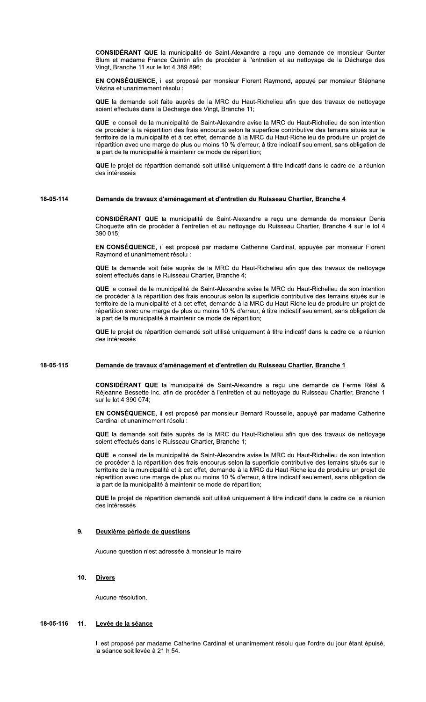CONSIDERANI G CONSIDÉRANT QUE la municipalité de Saint-Alexandre a reçu une demande de monsieur Gunter<br>Blum et madame France Quintin afin de procéder à l'entretien et au nettoyage de la Décharge des<br>Vingt, Branche 11 sur le lot 4 389 89

**CONSEQUENCE,** II est propose par monsieur Florent Raymond, appuye par monsieur Stephane

**CONSIDÉRANT QUE** la municipalité de Saint-Alexandre a reçu une demande de monsieur Gunter Blum et madame France Quintin afin de procéder à l'entretien et au nettoyage de la Décharge des<br>
Virgi, Branche 11 sur le lot 43896

# <u>18-05-114 Demande de travaux d'amenagement et d'entretien du Ruisseau Chartier, Branche 4</u>

SIDERANI U Son des intéressés<br>
Demande de travaux d'aménagement et d'entretien du Ruisseau Chartier, Branche 4<br>
CONSIDÉRANT QUE la municipalité de Saint-Alexandre a reçu une demande de monsieur Denis<br>
CONSIDÉRANT QUE la municipalité

**CONSEQUENCE**, il est propose par madame Catherine Cardinal, appuyee par monsieur Florent

**CONSIDÉRANT QUE** la municipalité de Saint-Alexandre a reçu une demande de monsieur Denis<br>
Choquette afin de procéder à l'entretien et au nettoyage du Ruisseau Chartier, Branche 4 sur le lot 4<br> **EN CONSÉQUENCE**, il est pro

# <u>18-05-115 Demande de travaux d'amenagement et d'entretien du Ruisseau Chartier, Branche 1</u>

CONSIDERANI ( Sonce le projet de repartution dentante sont duitse dinquemient à due indicadu dans le cadre de la redution<br> **Demande de travaux d'aménagement et d'entretien du Ruisseau Chartier, Branche 1**<br> **CONSIDÉRANT QUE** la municipal

**CONSEQUENCE, II est propose par monsieur Bernard Rousselle, appuye par madame Catherine** 

**CONSIDÉRANT QUE** la municipalité de Saint-Alexandre a reçu une demande de Ferme Réal & Réjeanne Bessette inc. afin de procéder à l'entretien et au nettoyage du Ruisseau Chartier, Branche 1<br>
EN CONSÉQUENCE, il est proposé

### $9.$ <u>període de questions</u>

Aucune question n'est adressée à monsieur le maire.

 $10.$ 

**Divers**<br>Aucune résolution.

### $11.$ <u>de la seance</u>

Il est proposé par madame Catherine Cardinal et unanimement résolu que l'ordre du jour étant épuisé, 18-05-116 11. Levée de la séance<br>Il est proposé par madame Ca<br>Ia séance soit levée à 21 h 54.